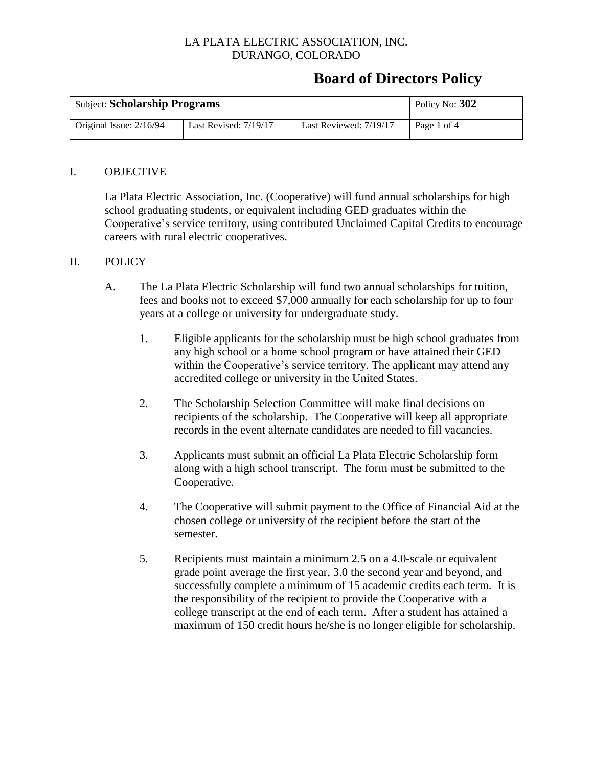## **Board of Directors Policy**

| <b>Subject: Scholarship Programs</b> |                         |                        | Policy No: 302 |
|--------------------------------------|-------------------------|------------------------|----------------|
| Original Issue: $2/16/94$            | Last Revised: $7/19/17$ | Last Reviewed: 7/19/17 | Page 1 of 4    |

#### I. OBJECTIVE

La Plata Electric Association, Inc. (Cooperative) will fund annual scholarships for high school graduating students, or equivalent including GED graduates within the Cooperative's service territory, using contributed Unclaimed Capital Credits to encourage careers with rural electric cooperatives.

#### II. POLICY

- A. The La Plata Electric Scholarship will fund two annual scholarships for tuition, fees and books not to exceed \$7,000 annually for each scholarship for up to four years at a college or university for undergraduate study.
	- 1. Eligible applicants for the scholarship must be high school graduates from any high school or a home school program or have attained their GED within the Cooperative's service territory. The applicant may attend any accredited college or university in the United States.
	- 2. The Scholarship Selection Committee will make final decisions on recipients of the scholarship. The Cooperative will keep all appropriate records in the event alternate candidates are needed to fill vacancies.
	- 3. Applicants must submit an official La Plata Electric Scholarship form along with a high school transcript. The form must be submitted to the Cooperative.
	- 4. The Cooperative will submit payment to the Office of Financial Aid at the chosen college or university of the recipient before the start of the semester.
	- 5. Recipients must maintain a minimum 2.5 on a 4.0-scale or equivalent grade point average the first year, 3.0 the second year and beyond, and successfully complete a minimum of 15 academic credits each term. It is the responsibility of the recipient to provide the Cooperative with a college transcript at the end of each term. After a student has attained a maximum of 150 credit hours he/she is no longer eligible for scholarship.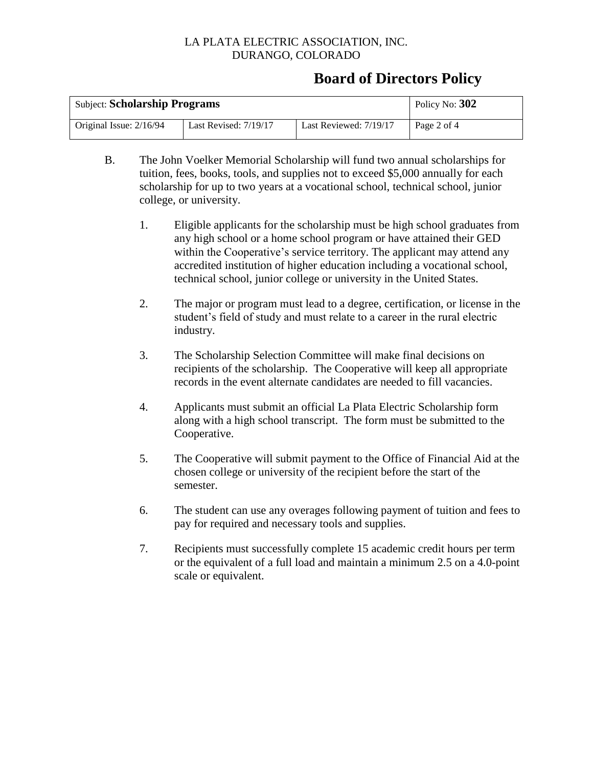## **Board of Directors Policy**

| <b>Subject: Scholarship Programs</b> |                       |                        | Policy No: 302 |
|--------------------------------------|-----------------------|------------------------|----------------|
| Original Issue: 2/16/94              | Last Revised: 7/19/17 | Last Reviewed: 7/19/17 | Page 2 of 4    |

- B. The John Voelker Memorial Scholarship will fund two annual scholarships for tuition, fees, books, tools, and supplies not to exceed \$5,000 annually for each scholarship for up to two years at a vocational school, technical school, junior college, or university.
	- 1. Eligible applicants for the scholarship must be high school graduates from any high school or a home school program or have attained their GED within the Cooperative's service territory. The applicant may attend any accredited institution of higher education including a vocational school, technical school, junior college or university in the United States.
	- 2. The major or program must lead to a degree, certification, or license in the student's field of study and must relate to a career in the rural electric industry.
	- 3. The Scholarship Selection Committee will make final decisions on recipients of the scholarship. The Cooperative will keep all appropriate records in the event alternate candidates are needed to fill vacancies.
	- 4. Applicants must submit an official La Plata Electric Scholarship form along with a high school transcript. The form must be submitted to the Cooperative.
	- 5. The Cooperative will submit payment to the Office of Financial Aid at the chosen college or university of the recipient before the start of the semester.
	- 6. The student can use any overages following payment of tuition and fees to pay for required and necessary tools and supplies.
	- 7. Recipients must successfully complete 15 academic credit hours per term or the equivalent of a full load and maintain a minimum 2.5 on a 4.0-point scale or equivalent.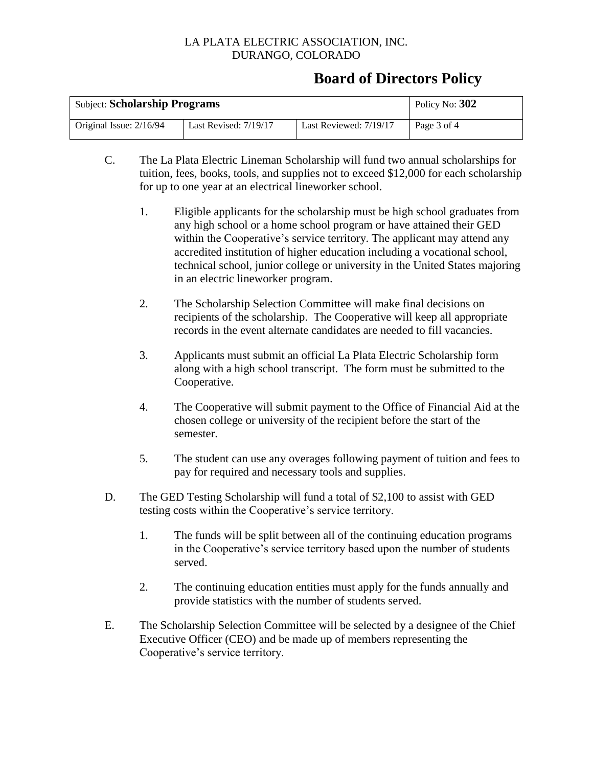## **Board of Directors Policy**

| <b>Subject: Scholarship Programs</b> |                       |                        | Policy No: 302 |
|--------------------------------------|-----------------------|------------------------|----------------|
| Original Issue: $2/16/94$            | Last Revised: 7/19/17 | Last Reviewed: 7/19/17 | Page 3 of 4    |

- C. The La Plata Electric Lineman Scholarship will fund two annual scholarships for tuition, fees, books, tools, and supplies not to exceed \$12,000 for each scholarship for up to one year at an electrical lineworker school.
	- 1. Eligible applicants for the scholarship must be high school graduates from any high school or a home school program or have attained their GED within the Cooperative's service territory. The applicant may attend any accredited institution of higher education including a vocational school, technical school, junior college or university in the United States majoring in an electric lineworker program.
	- 2. The Scholarship Selection Committee will make final decisions on recipients of the scholarship. The Cooperative will keep all appropriate records in the event alternate candidates are needed to fill vacancies.
	- 3. Applicants must submit an official La Plata Electric Scholarship form along with a high school transcript. The form must be submitted to the Cooperative.
	- 4. The Cooperative will submit payment to the Office of Financial Aid at the chosen college or university of the recipient before the start of the semester.
	- 5. The student can use any overages following payment of tuition and fees to pay for required and necessary tools and supplies.
- D. The GED Testing Scholarship will fund a total of \$2,100 to assist with GED testing costs within the Cooperative's service territory.
	- 1. The funds will be split between all of the continuing education programs in the Cooperative's service territory based upon the number of students served.
	- 2. The continuing education entities must apply for the funds annually and provide statistics with the number of students served.
- E. The Scholarship Selection Committee will be selected by a designee of the Chief Executive Officer (CEO) and be made up of members representing the Cooperative's service territory.